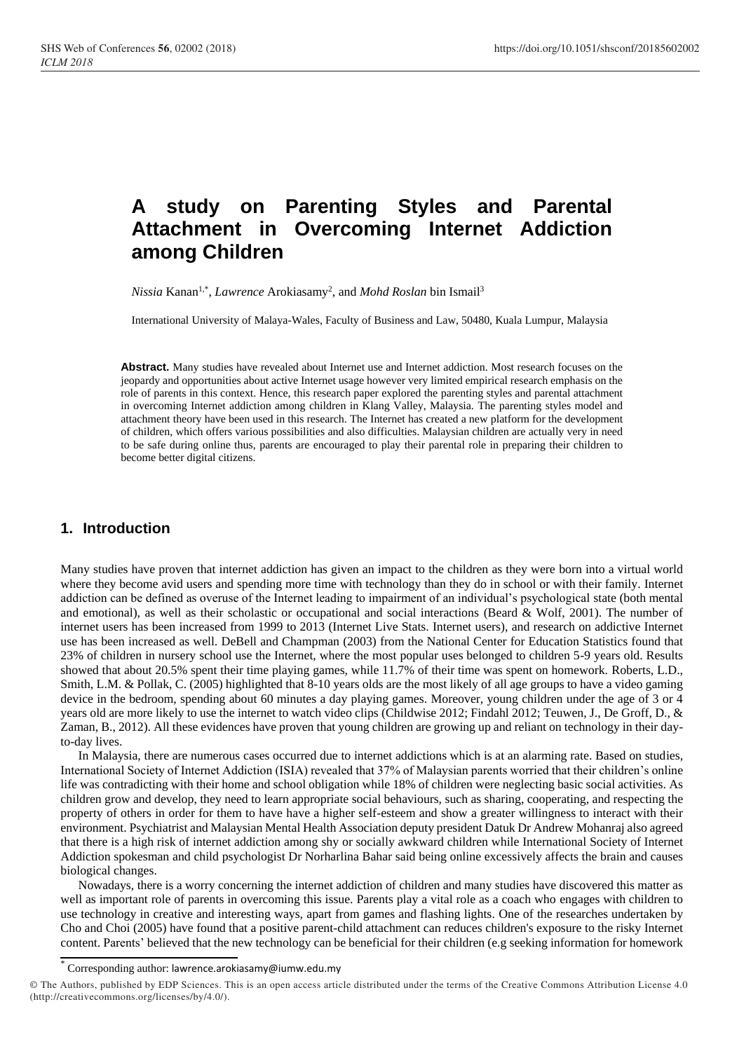# **A study on Parenting Styles and Parental Attachment in Overcoming Internet Addiction among Children**

Nissia Kanan<sup>1,\*</sup>, *Lawrence* Arokiasamy<sup>2</sup>, and *Mohd Roslan* bin Ismail<sup>3</sup>

International University of Malaya-Wales, Faculty of Business and Law, 50480, Kuala Lumpur, Malaysia

**Abstract.** Many studies have revealed about Internet use and Internet addiction. Most research focuses on the jeopardy and opportunities about active Internet usage however very limited empirical research emphasis on the role of parents in this context. Hence, this research paper explored the parenting styles and parental attachment in overcoming Internet addiction among children in Klang Valley, Malaysia. The parenting styles model and attachment theory have been used in this research. The Internet has created a new platform for the development of children, which offers various possibilities and also difficulties. Malaysian children are actually very in need to be safe during online thus, parents are encouraged to play their parental role in preparing their children to become better digital citizens.

# **1. Introduction**

Many studies have proven that internet addiction has given an impact to the children as they were born into a virtual world where they become avid users and spending more time with technology than they do in school or with their family. Internet addiction can be defined as overuse of the Internet leading to impairment of an individual's psychological state (both mental and emotional), as well as their scholastic or occupational and social interactions (Beard & Wolf, 2001). The number of internet users has been increased from 1999 to 2013 (Internet Live Stats. Internet users), and research on addictive Internet use has been increased as well. DeBell and Champman (2003) from the National Center for Education Statistics found that 23% of children in nursery school use the Internet, where the most popular uses belonged to children 5-9 years old. Results showed that about 20.5% spent their time playing games, while 11.7% of their time was spent on homework. Roberts, L.D., Smith, L.M. & Pollak, C. (2005) highlighted that 8-10 years olds are the most likely of all age groups to have a video gaming device in the bedroom, spending about 60 minutes a day playing games. Moreover, young children under the age of 3 or 4 years old are more likely to use the internet to watch video clips (Childwise 2012; Findahl 2012; Teuwen, J., De Groff, D., & Zaman, B., 2012). All these evidences have proven that young children are growing up and reliant on technology in their dayto-day lives.

In Malaysia, there are numerous cases occurred due to internet addictions which is at an alarming rate. Based on studies, International Society of Internet Addiction (ISIA) revealed that 37% of Malaysian parents worried that their children's online life was contradicting with their home and school obligation while 18% of children were neglecting basic social activities. As children grow and develop, they need to learn appropriate social behaviours, such as sharing, cooperating, and respecting the property of others in order for them to have have a higher self-esteem and show a greater willingness to interact with their environment. Psychiatrist and Malaysian Mental Health Association deputy president Datuk Dr Andrew Mohanraj also agreed that there is a high risk of internet addiction among shy or socially awkward children while International Society of Internet Addiction spokesman and child psychologist Dr Norharlina Bahar said being online excessively affects the brain and causes biological changes.

Nowadays, there is a worry concerning the internet addiction of children and many studies have discovered this matter as well as important role of parents in overcoming this issue. Parents play a vital role as a coach who engages with children to use technology in creative and interesting ways, apart from games and flashing lights. One of the researches undertaken by Cho and Choi (2005) have found that a positive parent-child attachment can reduces children's exposure to the risky Internet content. Parents' believed that the new technology can be beneficial for their children (e.g seeking information for homework

<sup>\*</sup> Corresponding author: lawrence.arokiasamy@iumw.edu.my

<sup>©</sup> The Authors, published by EDP Sciences. This is an open access article distributed under the terms of the Creative Commons Attribution License 4.0 (http://creativecommons.org/licenses/by/4.0/).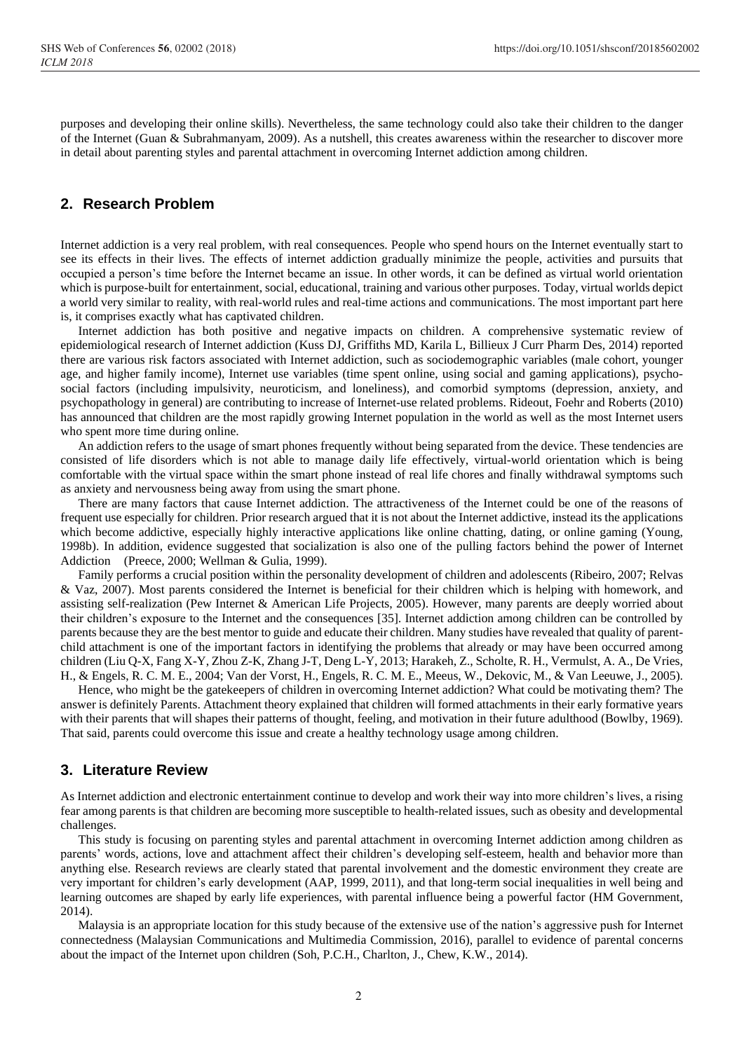purposes and developing their online skills). Nevertheless, the same technology could also take their children to the danger of the Internet (Guan & Subrahmanyam, 2009). As a nutshell, this creates awareness within the researcher to discover more in detail about parenting styles and parental attachment in overcoming Internet addiction among children.

### **2. Research Problem**

Internet addiction is a very real problem, with real consequences. People who spend hours on the Internet eventually start to see its effects in their lives. The effects of internet addiction gradually minimize the people, activities and pursuits that occupied a person's time before the Internet became an issue. In other words, it can be defined as virtual world orientation which is purpose-built for entertainment, social, educational, training and various other purposes. Today, virtual worlds depict a world very similar to reality, with real-world rules and real-time actions and communications. The most important part here is, it comprises exactly what has captivated children.

Internet addiction has both positive and negative impacts on children. A comprehensive systematic review of epidemiological research of Internet addiction (Kuss DJ, Griffiths MD, Karila L, Billieux J Curr Pharm Des, 2014) reported there are various risk factors associated with Internet addiction, such as sociodemographic variables (male cohort, younger age, and higher family income), Internet use variables (time spent online, using social and gaming applications), psychosocial factors (including impulsivity, neuroticism, and loneliness), and comorbid symptoms (depression, anxiety, and psychopathology in general) are contributing to increase of Internet-use related problems. Rideout, Foehr and Roberts (2010) has announced that children are the most rapidly growing Internet population in the world as well as the most Internet users who spent more time during online.

An addiction refers to the usage of smart phones frequently without being separated from the device. These tendencies are consisted of life disorders which is not able to manage daily life effectively, virtual-world orientation which is being comfortable with the virtual space within the smart phone instead of real life chores and finally withdrawal symptoms such as anxiety and nervousness being away from using the smart phone.

There are many factors that cause Internet addiction. The attractiveness of the Internet could be one of the reasons of frequent use especially for children. Prior research argued that it is not about the Internet addictive, instead its the applications which become addictive, especially highly interactive applications like online chatting, dating, or online gaming (Young, 1998b). In addition, evidence suggested that socialization is also one of the pulling factors behind the power of Internet Addiction (Preece, 2000; Wellman & Gulia, 1999).

Family performs a crucial position within the personality development of children and adolescents (Ribeiro, 2007; Relvas & Vaz, 200[7\). Most parents considered](http://www.sciencedirect.com/science/article/pii/S0747563208001064#bib40) the Internet is beneficial for their children which is helping with homework, and assisting self-realization (Pew Internet & American Life Projects, 2005). However, many parents are deeply worried about their children's exposure to the Internet and the consequences [35]. Internet addiction among children can be controlled by parents because they are the best mentor to guide and educate their children. Many studies have revealed that quality of parentchild attachment is one of the important factors in identifying the problems that already or may have been occurred among children (Liu Q-X, Fang X-Y, Zhou Z-K, Zhang J-T, Deng L-Y, 2013; Harakeh, Z., Scholte, R. H., Vermulst, A. A., De Vries, H., & Engels, R. C. M. E., 2004; Van der Vorst, H., Engels, R. C. M. E., Meeus, W., Dekovic, M., & Van Leeuwe, J., 2005).

Hence, who might be the gatekeepers of children in overcoming Internet addiction? What could be motivating them? The answer is definitely Parents. Attachment theory explained that children will formed attachments in their early formative years with their parents that will shapes their patterns of thought, feeling, and motivation in their future adulthood (Bowlby, 1969). That said, parents could overcome this issue and create a healthy technology usage among children.

### **3. Literature Review**

As Internet addiction and electronic entertainment continue to develop and work their way into more children's lives, a rising fear among parents is that children are becoming more susceptible to health-related issues, such as obesity and developmental challenges.

This study is focusing on parenting styles and parental attachment in overcoming Internet addiction among children as parents' words, actions, love and attachment affect their children's developing self-esteem, health and behavior more than anything else. Research reviews are clearly stated that parental involvement and the domestic environment they create are very important for children's early development (AAP, 1999, 2011), and that lon[g-term social](http://kidshealth.org/en/parents/self-esteem.html) inequalities in well being and learning outcomes are shaped by early life experiences, with parental influence being a powerful factor (HM Government, 2014).

Malaysia is an appropriate location for this study because of the extensive use of the nation's aggressive push for Internet connectedness (Malaysian Communications and Multimedia Commission, 2016), parallel to evidence of parental concerns about the impact of the Internet upon children (Soh, P.C.H., Charlton, J., Chew, K.W., 2014).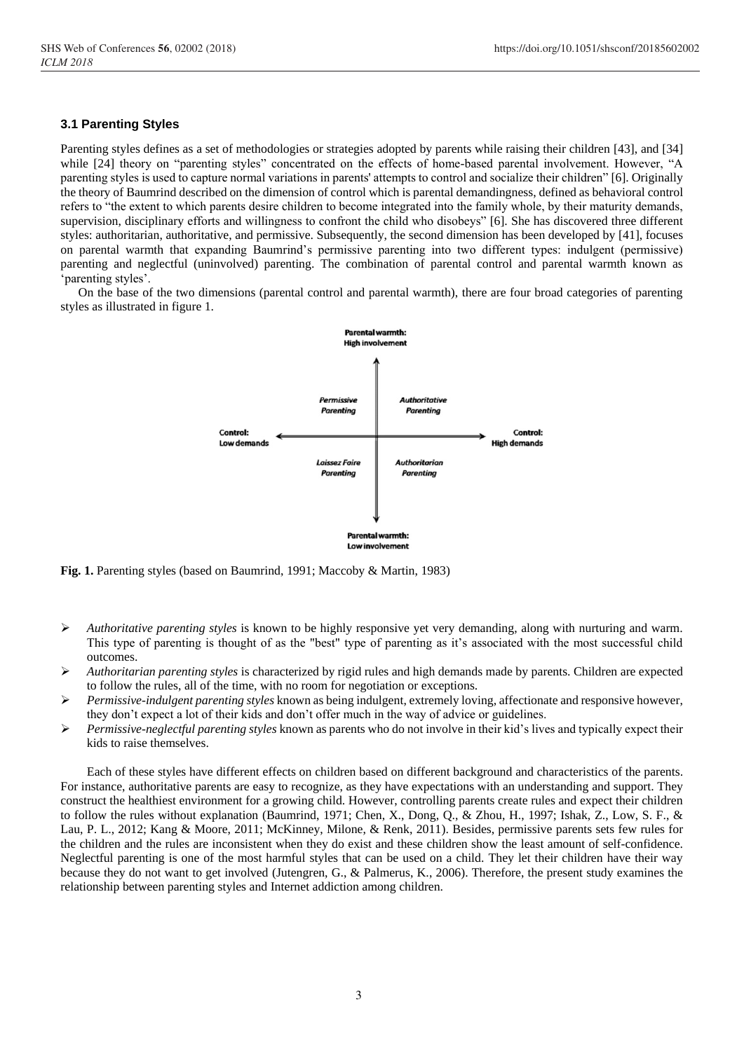### **3.1 Parenting Styles**

Parenting styles defines as a set of methodologies or strategies adopted by parents while raising their children [43], and [34] while [24] theory on "parenting styles" concentrated on the effects of home-based parental involvement. However, "A parenting styles is used to capture normal variations in parents' attempts to control and socialize their children" [6]. Originally the theory of Baumrind described on the dimension of control which is parental demandingness, defined as behavioral control refers to "the extent to which parents desire children to become integrated into the family whole, by their maturity demands, supervision, disciplinary efforts and willingness to confront the child who disobeys" [6]. She has discovered three different styles: authoritarian, authoritative, and permissive. Subsequently, the second dimension has been developed by [41], focuses on parental warmth that expanding Baumrind's permissive parenting into two different types: indulgent (permissive) parenting and neglectful (uninvolved) parenting. The combination of parental control and parental warmth known as 'parenting styles'.

On the base of the two dimensions (parental control and parental warmth), there are four broad categories of parenting styles as illustrated in figure 1.



**Fig. 1.** Parenting styles (based on Baumrind, 1991; Maccoby & Martin, 1983)

- ➢ *Authoritative parenting styles* is known to be highly responsive yet very demanding, along with nurturing and warm. This type of parenting is thought of as the "best" type of parenting as it's associated with the most successful child outcomes.
- ➢ *Authoritarian parenting styles* is characterized by rigid rules and high demands made by parents. Children are expected to follow the rules, all of the time, with no room for negotiation or exceptions.
- ➢ *Permissive-indulgent parenting styles* known as being indulgent, extremely loving, affectionate and responsive however, they don't expect a lot of their kids and don't offer much in the way of advice or guidelines.
- ➢ *Permissive-neglectful parenting styles* known as parents who do not involve in their kid's lives and typically expect their kids to raise themselves.

Each of these styles have different effects on children based on different background and characteristics of the parents. For instance, authoritative parents are easy to recognize, as they have expectations with an understanding and support. They construct the healthiest environment for a growing child. However, controlling parents create rules and expect their children to follow the rules without explanation (Baumrind, 1971; Chen, X., Dong, Q., & Zhou, H., 1997; Ishak, Z., Low, S. F., & Lau, P. L., 2012; Kang & Moore, 2011; McKinney, Milone, & Renk, 2011). Besides, permissive parents sets few rules for the children and the rules are inconsistent when they do exist and these children show the least amount of self-confidence. Neglectful parenting is one of the most harmful styles that can be used on a child. They let their children have their way because they do not want to get involved (Jutengren, G., & Palmerus, K., 2006). Therefore, the present study examines the relationship between parenting styles and Internet addiction among children.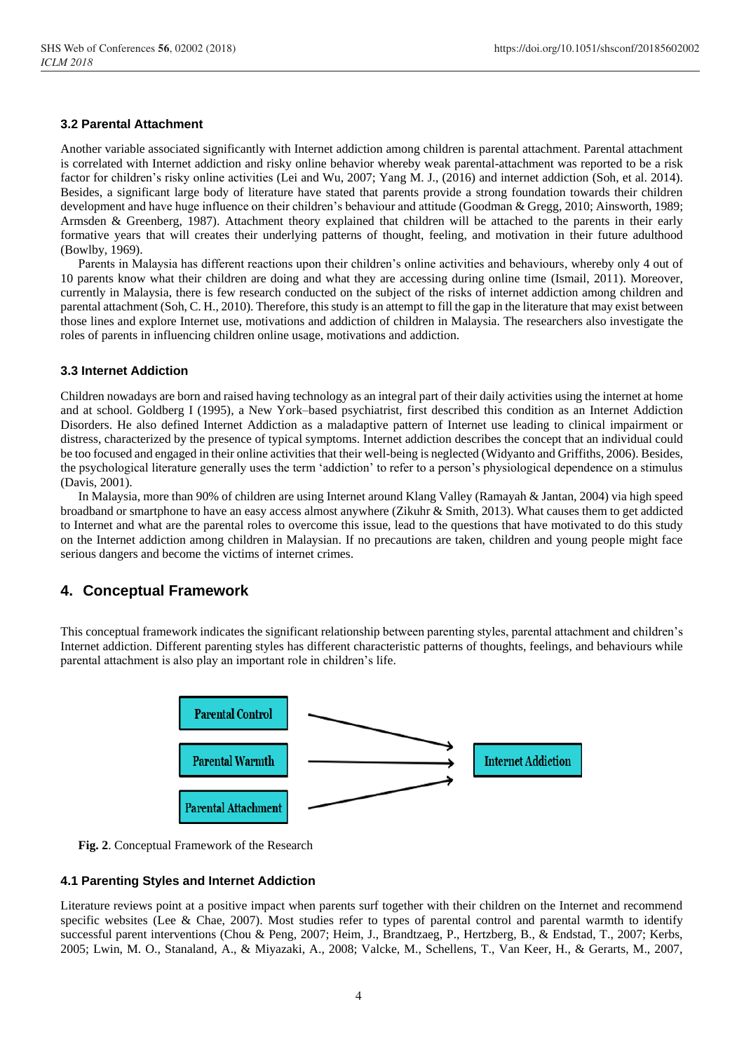#### **3.2 Parental Attachment**

Another variable associated significantly with Internet addiction among children is parental attachment. Parental attachment is correlated with Internet addiction and risky online behavior whereby weak parental-attachment was reported to be a risk factor for children's risky online activities (Lei and Wu, 2007; Yang M. J., (2016) and internet addiction (Soh, et al. 2014). Besides, a significant large body of literature have stated that parents provide a strong foundation towards their children development and have huge influence on their children's behaviour and attitude (Goodman & Gregg, 2010; Ainsworth, 1989; Armsden & Greenberg, 1987). Attachment theory explained that children will be attached to the parents in their early formative years that will creates their underlying patterns of thought, feeling, and motivation in their future adulthood (Bowlby, 1969).

Parents in Malaysia has different reactions upon their children's online activities and behaviours, whereby only 4 out of 10 parents know what their children are doing and what they are accessing during online time (Ismail, 2011). Moreover, currently in Malaysia, there is few research conducted on the subject of the risks of internet addiction among children and parental attachment (Soh, C. H., 2010). Therefore, this study is an attempt to fill the gap in the literature that may exist between those lines and explore Internet use, motivations and addiction of children in Malaysia. The researchers also investigate the roles of parents in influencing children online usage, motivations and addiction.

#### **3.3 Internet Addiction**

Children nowadays are born and raised having technology as an integral part of their daily activities using the internet at home and at school. Goldberg I (1995), a New York–based psychiatrist, first described this condition as an Internet Addiction Disorders. He also defined Internet Addiction as a maladaptive pattern of Internet use leading to clinical impairment or distress, characterized by the presence of typical symptoms. Internet addiction describes the concept that an individual could be too focused and engaged in their online activities that their well-being is neglected (Widyanto and Griffiths, 2006). Besides, the psychological literature generally uses the term 'addiction' to refer to a person's physiological dependence on a stimulus (Davis, 2001).

In Malaysia, more than 90% of children are using Internet around Klang Valley (Ramayah & Jantan, 2004) via high speed broadband or smartphone to have an easy access almost anywhere (Zikuhr & Smith, 2013). What causes them to get addicted to Internet and what are the parental roles to overcome this issue, lead to the questions that have motivated to do this study on the Internet addiction among children in Malaysian. If no precautions are taken, children and young people might face serious dangers and become the victims of internet crimes.

# **4. Conceptual Framework**

This conceptual framework indicates the significant relationship between parenting styles, parental attachment and children's Internet addiction. Different parenting styles has different characteristic patterns of thoughts, feelings, and behaviours while parental attachment is also play an important role in children's life.



**Fig. 2**. Conceptual Framework of the Research

#### **4.1 Parenting Styles and Internet Addiction**

Literature reviews point at a positive impact when parents surf together with their children on the Internet and recommend specific websites (Lee & Chae, 2007). Most studies refer to types of parental control and parental warmth to identify successful parent interventions (Chou & Peng, 2007; Heim, J., Brandtzaeg, P., Hertzberg, B., & Endstad, T., 2007; Kerbs, 2005; Lwin, M. O., Stanaland, A., & Miyazaki, A., 2008; Valcke, M., Schellens, T., Van Keer, H., & Gerarts, M., 2007,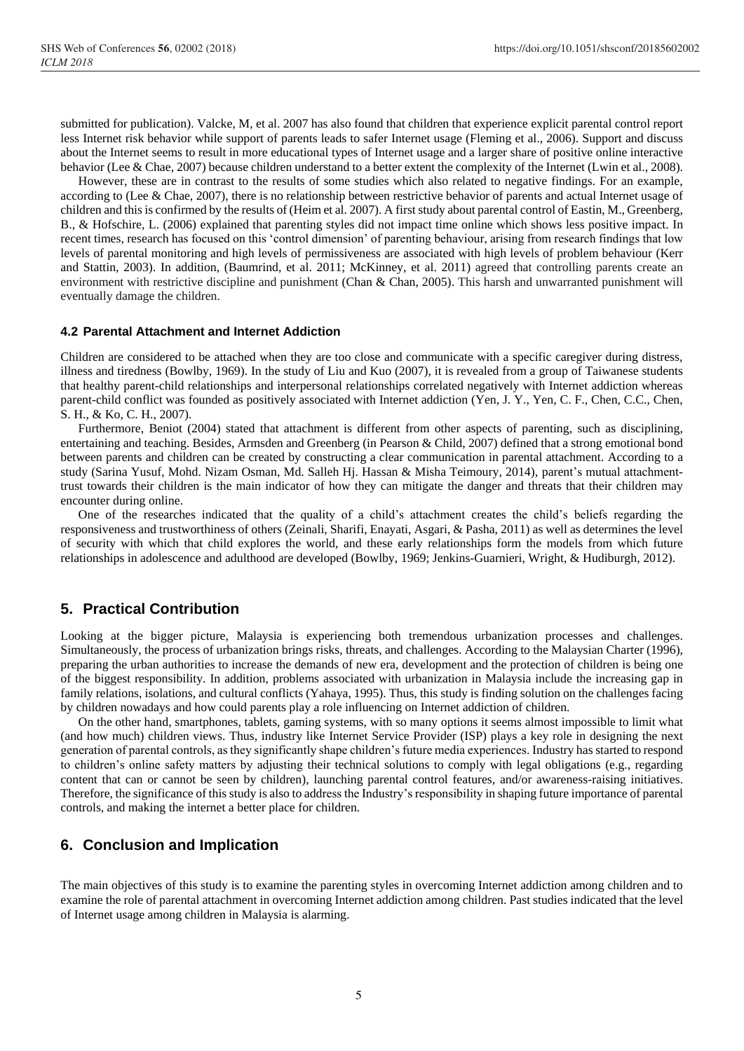submitted for publication). Valcke, M, et al. 2007 has also found that children that experience explicit parental control report less Internet risk behavior while support of parents leads to safer Internet usage (Fleming et al., 2006). Support and discuss about the Internet seems to result in more educational types of Internet usage and a larger share of positive online interactive behavior (Lee & Chae, 2007) because children understand to a better extent the complexity of the Internet (Lwin et al., 2008).

However, these are in contrast to the results of some studies which also related to negative findings. For an example, according to (Lee & Chae, 2007), there is no relationship between restrictive behavior of parents and actual Internet usage of children and this is confirmed by the results of (Heim et al. 2007). A first study about parental control of Eastin, M., Greenberg, B., & Hofschire, L. (2006) explained that parenting styles did not impact time online which shows less positive impact. In recent times, research has focused on this 'control dimension' of parenting behaviour, arising from research findings that low levels of parental monitoring and high levels of permissiveness are associated with high levels of problem behaviour (Kerr and Stattin, 2003). In addition, (Baumrind, et al. 2011; McKinney, et al. 2011) agreed that controlling parents create an environment with restrictive discipline and punishment (Chan & Chan, 2005). This harsh and unwarranted punishment will eventually damage the children.

#### **4.2 Parental Attachment and Internet Addiction**

Children are considered to be attached when they are too close and communicate with a specific caregiver during distress, illness and tiredness (Bowlby, 1969). In the study of Liu and Kuo (2007), it is revealed from a group of Taiwanese students that healthy parent-child relationships and interpersonal relationships correlated negatively with Internet addiction whereas parent-child conflict was founded as positively associated with Internet addiction (Yen, J. Y., Yen, C. F., Chen, C.C., Chen, S. H., & Ko, C. H., 2007).

Furthermore, Beniot (2004) stated that attachment is different from other aspects of parenting, such as disciplining, entertaining and teaching. Besides, Armsden and Greenberg (in Pearson & Child, 2007) defined that a strong emotional bond between parents and children can be created by constructing a clear communication in parental attachment. According to a study (Sarina Yusuf, Mohd. Nizam Osman, Md. Salleh Hj. Hassan & Misha Teimoury, 2014), parent's mutual attachmenttrust towards their children is the main indicator of how they can mitigate the danger and threats that their children may encounter during online.

One of the researches indicated that the quality of a child's attachment creates the child's beliefs regarding the responsiveness and trustworthiness of others (Zeinali, Sharifi, Enayati, Asgari, & Pasha, 2011) as well as determines the level of security with which that child explores the world, and these early relationships form the models from which future relationships in adolescence and adulthood are developed (Bowlby, 1969; Jenkins-Guarnieri, Wright, & Hudiburgh, 2012).

### **5. Practical Contribution**

Looking at the bigger picture, Malaysia is experiencing both tremendous urbanization processes and challenges. Simultaneously, the process of urbanization brings risks, threats, and challenges. According to the Malaysian Charter (1996), preparing the urban authorities to increase the demands of new era, development and the protection of children is being one of the biggest responsibility. In addition, problems associated with urbanization in Malaysia include the increasing gap in family relations, isolations, and cultural conflicts (Yahaya, 1995). Thus, this study is finding solution on the challenges facing by children nowadays and how could parents play a role influencing on Internet addiction of children.

On the other hand, smartphones, tablets, gaming systems, with so many options it seems almost impossible to limit what (and how much) children views. Thus, industry like Internet Service Provider (ISP) plays a key role in designing the next generation of parental controls, as they significantly shape children's future media experiences. Industry has started to respond to children's online safety matters by adjusting their technical solutions to comply with legal obligations (e.g., regarding content that can or cannot be seen by children), launching parental control features, and/or awareness-raising initiatives. Therefore, the significance of this study is also to address the Industry's responsibility in shaping future importance of parental controls, and making the internet a better place for children.

## **6. Conclusion and Implication**

The main objectives of this study is to examine the parenting styles in overcoming Internet addiction among children and to examine the role of parental attachment in overcoming Internet addiction among children. Past studies indicated that the level of Internet usage among children in Malaysia is alarming.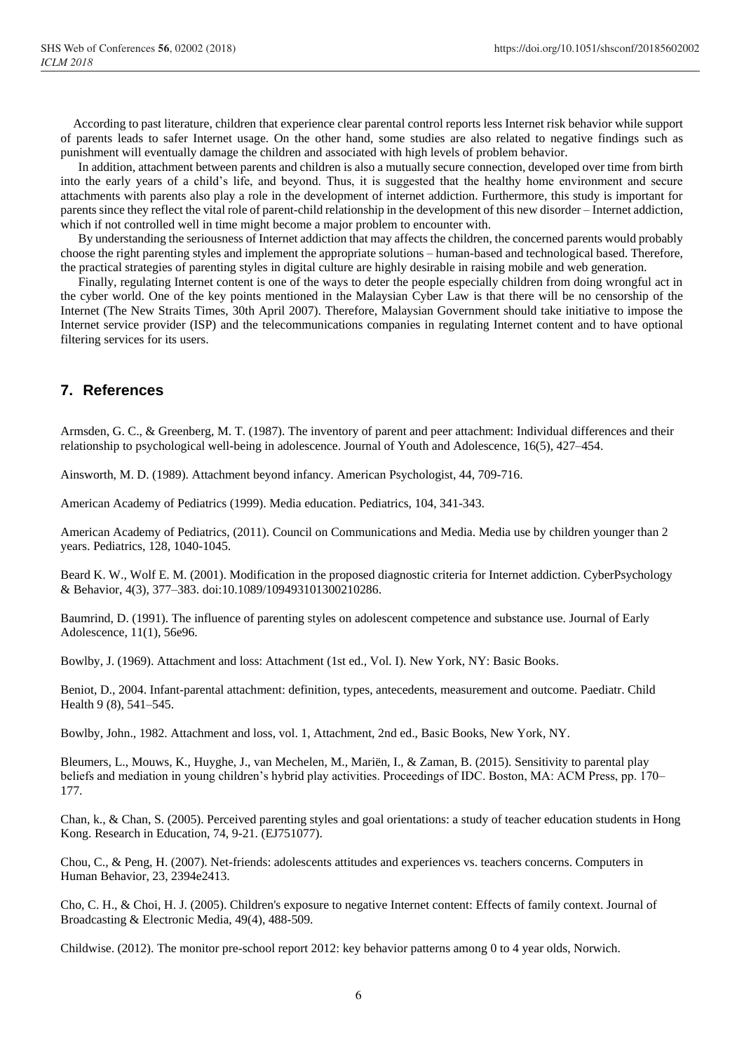According to past literature, children that experience clear parental control reports less Internet risk behavior while support of parents leads to safer Internet usage. On the other hand, some studies are also related to negative findings such as punishment will eventually damage the children and associated with high levels of problem behavior.

In addition, attachment between parents and children is also a mutually secure connection, developed over time from birth into the early years of a child's life, and beyond. Thus, it is suggested that the healthy home environment and secure attachments with parents also play a role in the development of internet addiction. Furthermore, this study is important for parents since they reflect the vital role of parent-child relationship in the development of this new disorder – Internet addiction, which if not controlled well in time might become a major problem to encounter with.

By understanding the seriousness of Internet addiction that may affects the children, the concerned parents would probably choose the right parenting styles and implement the appropriate solutions – human-based and technological based. Therefore, the practical strategies of parenting styles in digital culture are highly desirable in raising mobile and web generation.

Finally, regulating Internet content is one of the ways to deter the people especially children from doing wrongful act in the cyber world. One of the key points mentioned in the Malaysian Cyber Law is that there will be no censorship of the Internet (The New Straits Times, 30th April 2007). Therefore, Malaysian Government should take initiative to impose the Internet service provider (ISP) and the telecommunications companies in regulating Internet content and to have optional filtering services for its users.

# **7. References**

Armsden, G. C., & Greenberg, M. T. (1987). The inventory of parent and peer attachment: Individual differences and their relationship to psychological well-being in adolescence. Journal of Youth and Adolescence, 16(5), 427–454.

Ainsworth, M. D. (1989). Attachment beyond infancy. American Psychologist, 44, 709-716.

American Academy of Pediatrics (1999). Media education. Pediatrics, 104, 341-343.

American Academy of Pediatrics, (2011). Council on Communications and Media. Media use by children younger than 2 years. Pediatrics, 128, 1040-1045.

Beard K. W., Wolf E. M. (2001). Modification in the proposed diagnostic criteria for Internet addiction. CyberPsychology & Behavior, 4(3), 377–383. doi:10.1089/109493101300210286.

Baumrind, D. (1991). The influence of parenting styles on adolescent competence and substance use. Journal of Early Adolescence, 11(1), 56e96.

Bowlby, J. (1969). Attachment and loss: Attachment (1st ed., Vol. I). New York, NY: Basic Books.

Beniot, D., 2004. Infant-parental attachment: definition, types, antecedents, measurement and outcome. Paediatr. Child Health 9 (8), 541–545.

Bowlby, John., 1982. Attachment and loss, vol. 1, Attachment, 2nd ed., Basic Books, New York, NY.

Bleumers, L., Mouws, K., Huyghe, J., van Mechelen, M., Mariën, I., & Zaman, B. (2015). Sensitivity to parental play beliefs and mediation in young children's hybrid play activities. Proceedings of IDC. Boston, MA: ACM Press, pp. 170– 177.

Chan, k., & Chan, S. (2005). Perceived parenting styles and goal orientations: a study of teacher education students in Hong Kong. Research in Education, 74, 9-21. (EJ751077).

Chou, C., & Peng, H. (2007). Net-friends: adolescents attitudes and experiences vs. teachers concerns. Computers in Human Behavior, 23, 2394e2413.

Cho, C. H., & Choi, H. J. (2005). Children's exposure to negative Internet content: Effects of family context. Journal of Broadcasting & Electronic Media, 49(4), 488-509.

Childwise. (2012). The monitor pre-school report 2012: key behavior patterns among 0 to 4 year olds, Norwich.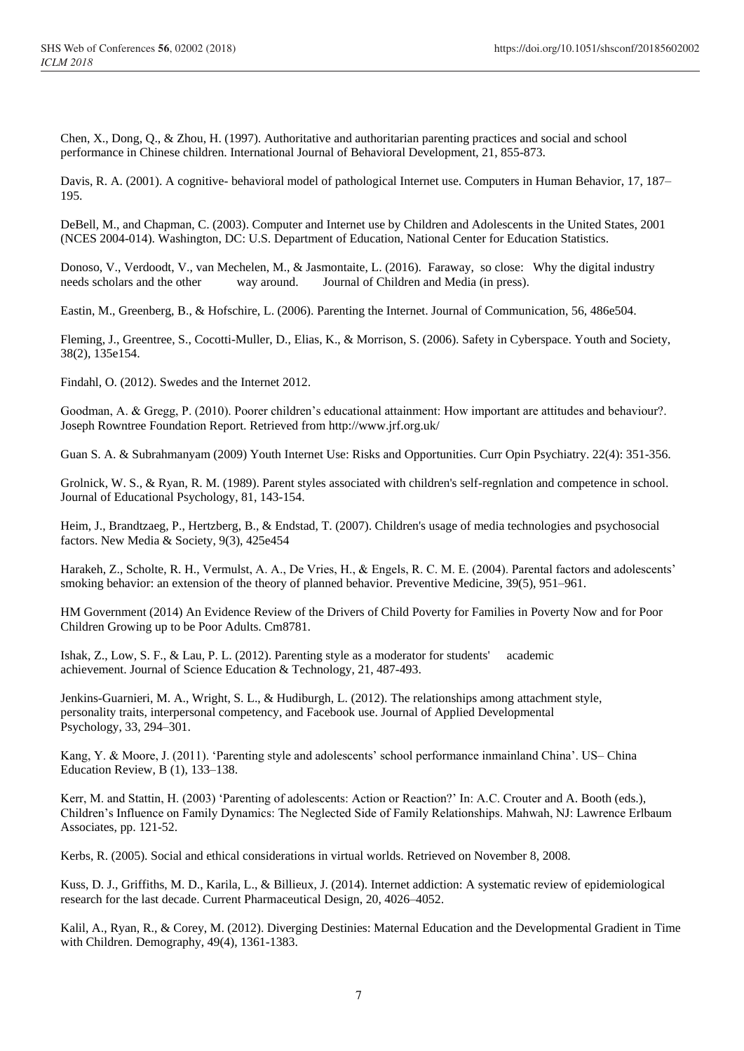Chen, X., Dong, Q., & Zhou, H. (1997). Authoritative and authoritarian parenting practices and social and school performance in Chinese children. International Journal of Behavioral Development, 21, 855-873.

Davis, R. A. (2001). A cognitive- behavioral model of pathological Internet use. Computers in Human Behavior, 17, 187– 195.

DeBell, M., and Chapman, C. (2003). Computer and Internet use by Children and Adolescents in the United States, 2001 (NCES 2004-014). Washington, DC: U.S. Department of Education, National Center for Education Statistics.

Donoso, V., Verdoodt, V., van Mechelen, M., & Jasmontaite, L. (2016). Faraway, so close: Why the digital industry needs scholars and the other way around. Journal of Children and Media (in press).

Eastin, M., Greenberg, B., & Hofschire, L. (2006). Parenting the Internet. Journal of Communication, 56, 486e504.

Fleming, J., Greentree, S., Cocotti-Muller, D., Elias, K., & Morrison, S. (2006). Safety in Cyberspace. Youth and Society, 38(2), 135e154.

Findahl, O. (2012). Swedes and the Internet 2012.

Goodman, A. & Gregg, P. (2010). Poorer children's educational attainment: How important are attitudes and behaviour?. Joseph Rowntree Foundation Report. Retrieved from http://www.jrf.org.uk/

Guan S. A. & Subrahmanyam (2009) Youth Internet Use: Risks and Opportunities. Curr Opin Psychiatry. 22(4): 351-356.

Grolnick, W. S., & Ryan, R. M. (1989). Parent styles associated with children's self-regnlation and competence in school. Journal of Educational Psychology, 81, 143-154.

Heim, J., Brandtzaeg, P., Hertzberg, B., & Endstad, T. (2007). Children's usage of media technologies and psychosocial factors. New Media & Society, 9(3), 425e454

Harakeh, Z., Scholte, R. H., Vermulst, A. A., De Vries, H., & Engels, R. C. M. E. (2004). Parental factors and adolescents' smoking behavior: an extension of the theory of planned behavior. Preventive Medicine, 39(5), 951–961.

HM Government (2014) An Evidence Review of the Drivers of Child Poverty for Families in Poverty Now and for Poor Children Growing up to be Poor Adults. Cm8781.

Ishak, Z., Low, S. F., & Lau, P. L. (2012). Parenting style as a moderator for students' academic achievement. Journal of Science Education & Technology, 21, 487-493.

Jenkins-Guarnieri, M. A., Wright, S. L., & Hudiburgh, L. (2012). The relationships among attachment style, personality traits, interpersonal competency, and Facebook use. Journal of Applied Developmental Psychology, 33, 294–301.

Kang, Y. & Moore, J. (2011). 'Parenting style and adolescents' school performance inmainland China'. US– China Education Review, B (1), 133–138.

Kerr, M. and Stattin, H. (2003) 'Parenting of adolescents: Action or Reaction?' In: A.C. Crouter and A. Booth (eds.), Children's Influence on Family Dynamics: The Neglected Side of Family Relationships. Mahwah, NJ: Lawrence Erlbaum Associates, pp. 121-52.

Kerbs, R. (2005). Social and ethical considerations in virtual worlds. Retrieved on November 8, 2008.

Kuss, D. J., Griffiths, M. D., Karila, L., & Billieux, J. (2014). Internet addiction: A systematic review of epidemiological research for the last decade. Current Pharmaceutical Design, 20, 4026–4052.

Kalil, A., Ryan, R., & Corey, M. (2012). Diverging Destinies: Maternal Education and the Developmental Gradient in Time with Children. Demography, 49(4), 1361-1383.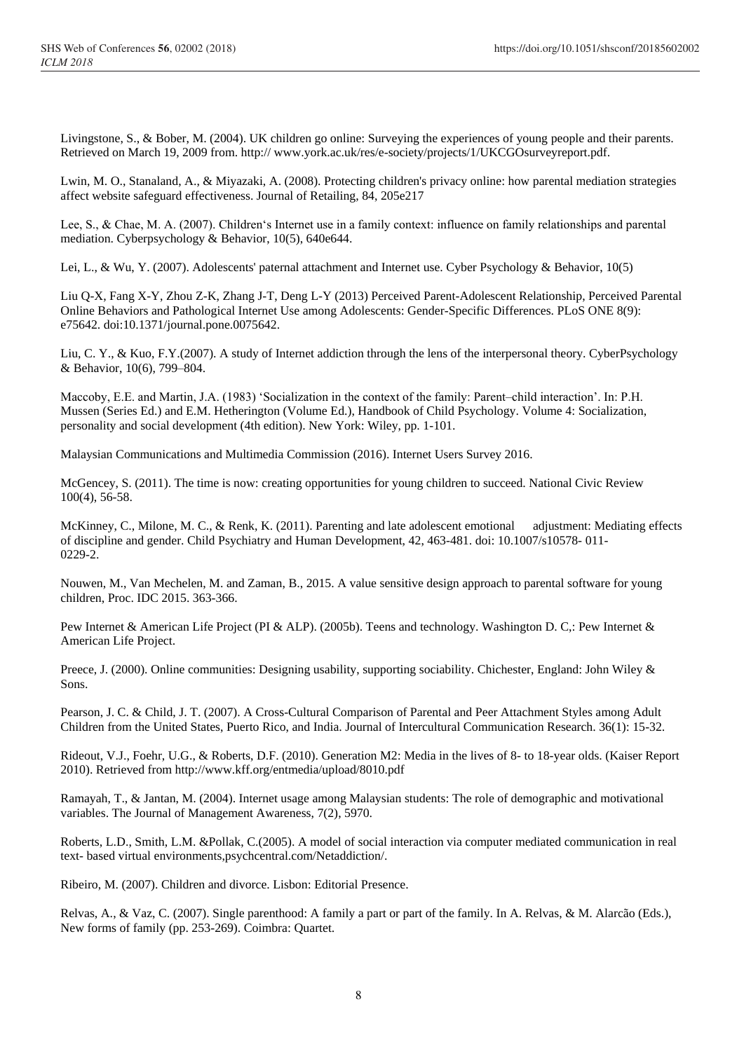Livingstone, S., & Bober, M. (2004). UK children go online: Surveying the experiences of young people and their parents. Retrieved on March 19, 2009 from. http:// www.york.ac.uk/res/e-society/projects/1/UKCGOsurveyreport.pdf.

Lwin, M. O., Stanaland, A., & Miyazaki, A. (2008). Protecting children's privacy online: how parental mediation strategies affect website safeguard effectiveness. Journal of Retailing, 84, 205e217

Lee, S., & Chae, M. A. (2007). Children's Internet use in a family context: influence on family relationships and parental mediation. Cyberpsychology & Behavior, 10(5), 640e644.

Lei, L., & Wu, Y. (2007). Adolescents' paternal attachment and Internet use. Cyber Psychology & Behavior, 10(5)

Liu Q-X, Fang X-Y, Zhou Z-K, Zhang J-T, Deng L-Y (2013) Perceived Parent-Adolescent Relationship, Perceived Parental Online Behaviors and Pathological Internet Use among Adolescents: Gender-Specific Differences. PLoS ONE 8(9): e75642. doi:10.1371/journal.pone.0075642.

Liu, C. Y., & Kuo, F.Y.(2007). A study of Internet addiction through the lens of the interpersonal theory. CyberPsychology & Behavior, 10(6), 799–804.

Maccoby, E.E. and Martin, J.A. (1983) 'Socialization in the context of the family: Parent–child interaction'. In: P.H. Mussen (Series Ed.) and E.M. Hetherington (Volume Ed.), Handbook of Child Psychology. Volume 4: Socialization, personality and social development (4th edition). New York: Wiley, pp. 1-101.

Malaysian Communications and Multimedia Commission (2016). Internet Users Survey 2016.

McGencey, S. (2011). The time is now: creating opportunities for young children to succeed. National Civic Review 100(4), 56-58.

McKinney, C., Milone, M. C., & Renk, K. (2011). Parenting and late adolescent emotional adjustment: Mediating effects of discipline and gender. Child Psychiatry and Human Development, 42, 463-481. doi: 10.1007/s10578- 011- 0229-2.

Nouwen, M., Van Mechelen, M. and Zaman, B., 2015. A value sensitive design approach to parental software for young children, Proc. IDC 2015. 363-366.

Pew Internet & American Life Project (PI & ALP). (2005b). Teens and technology. Washington D. C,: Pew Internet & American Life Project.

Preece, J. (2000). Online communities: Designing usability, supporting sociability. Chichester, England: John Wiley & Sons.

Pearson, J. C. & Child, J. T. (2007). A Cross-Cultural Comparison of Parental and Peer Attachment Styles among Adult Children from the United States, Puerto Rico, and India. Journal of Intercultural Communication Research. 36(1): 15-32.

Rideout, V.J., Foehr, U.G., & Roberts, D.F. (2010). Generation M2: Media in the lives of 8- to 18-year olds. (Kaiser Report 2010). Retrieved from http://www.kff.org/entmedia/upload/8010.pdf

Ramayah, T., & Jantan, M. (2004). Internet usage among Malaysian students: The role of demographic and motivational variables. The Journal of Management Awareness, 7(2), 5970.

Roberts, L.D., Smith, L.M. &Pollak, C.(2005). A model of social interaction via computer mediated communication in real text- based virtual environments,psychcentral.com/Netaddiction/.

Ribeiro, M. (2007). Children and divorce. Lisbon: Editorial Presence.

Relvas, A., & Vaz, C. (2007). Single parenthood: A family a part or part of the family. In A. Relvas, & M. Alarcão (Eds.), New forms of family (pp. 253-269). Coimbra: Quartet.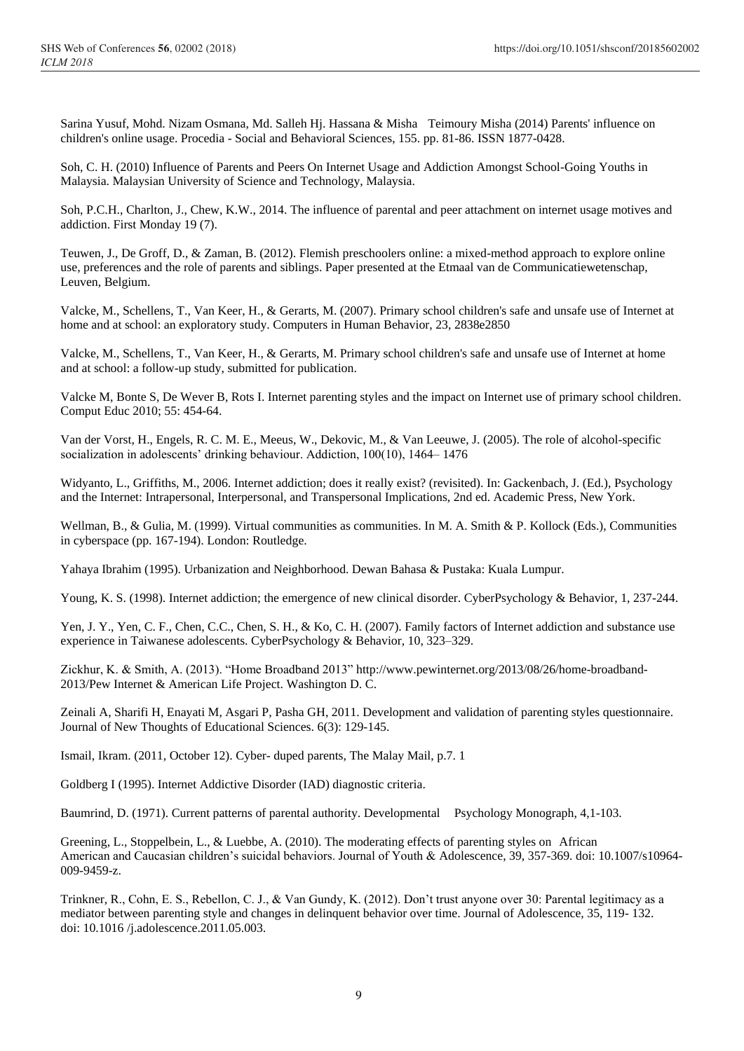Sarina Yusuf, Mohd. Nizam Osmana, Md. Salleh Hj. Hassana & Misha Teimoury Misha (2014) Parents' influence on children's online usage. Procedia - Social and Behavioral Sciences, 155. pp. 81-86. ISSN 1877-0428.

Soh, C. H. (2010) Influence of Parents and Peers On Internet Usage and Addiction Amongst School-Going Youths in Malaysia. Malaysian University of Science and Technology, Malaysia.

Soh, P.C.H., Charlton, J., Chew, K.W., 2014. The influence of parental and peer attachment on internet usage motives and addiction. First Monday 19 (7).

Teuwen, J., De Groff, D., & Zaman, B. (2012). Flemish preschoolers online: a mixed-method approach to explore online use, preferences and the role of parents and siblings. Paper presented at the Etmaal van de Communicatiewetenschap, Leuven, Belgium.

Valcke, M., Schellens, T., Van Keer, H., & Gerarts, M. (2007). Primary school children's safe and unsafe use of Internet at home and at school: an exploratory study. Computers in Human Behavior, 23, 2838e2850

Valcke, M., Schellens, T., Van Keer, H., & Gerarts, M. Primary school children's safe and unsafe use of Internet at home and at school: a follow-up study, submitted for publication.

Valcke M, Bonte S, De Wever B, Rots I. Internet parenting styles and the impact on Internet use of primary school children. Comput Educ 2010; 55: 454-64.

Van der Vorst, H., Engels, R. C. M. E., Meeus, W., Dekovic, M., & Van Leeuwe, J. (2005). The role of alcohol-specific socialization in adolescents' drinking behaviour. Addiction, 100(10), 1464– 1476

Widyanto, L., Griffiths, M., 2006. Internet addiction; does it really exist? (revisited). In: Gackenbach, J. (Ed.), Psychology and the Internet: Intrapersonal, Interpersonal, and Transpersonal Implications, 2nd ed. Academic Press, New York.

Wellman, B., & Gulia, M. (1999). Virtual communities as communities. In M. A. Smith & P. Kollock (Eds.), Communities in cyberspace (pp. 167-194). London: Routledge.

Yahaya Ibrahim (1995). Urbanization and Neighborhood. Dewan Bahasa & Pustaka: Kuala Lumpur.

Young, K. S. (1998). Internet addiction; the emergence of new clinical disorder. CyberPsychology & Behavior, 1, 237-244.

Yen, J. Y., Yen, C. F., Chen, C.C., Chen, S. H., & Ko, C. H. (2007). Family factors of Internet addiction and substance use experience in Taiwanese adolescents. CyberPsychology & Behavior, 10, 323–329.

Zickhur, K. & Smith, A. (2013). "Home Broadband 2013" http://www.pewinternet.org/2013/08/26/home-broadband-2013/Pew Internet & American Life Project. Washington D. C.

Zeinali A, Sharifi H, Enayati M, Asgari P, Pasha GH, 2011. [Development and validation of](http://www.pewinternet.org/2013/08/26/home-broadband-) parenting styles questionnaire. Journal of New Thoughts of Educational Sciences. 6(3): 129-145.

Ismail, Ikram. (2011, October 12). Cyber- duped parents, The Malay Mail, p.7. 1

Goldberg I (1995). Internet Addictive Disorder (IAD) diagnostic criteria.

Baumrind, D. (1971). Current patterns of parental authority. Developmental Psychology Monograph, 4,1-103.

Greening, L., Stoppelbein, L., & Luebbe, A. (2010). The moderating effects of parenting styles on African American and Caucasian children's suicidal behaviors. Journal of Youth & Adolescence, 39, 357-369. doi: 10.1007/s10964- 009-9459-z.

Trinkner, R., Cohn, E. S., Rebellon, C. J., & Van Gundy, K. (2012). Don't trust anyone over 30: Parental legitimacy as a mediator between parenting style and changes in delinquent behavior over time. Journal of Adolescence, 35, 119- 132. doi: 10.1016 /j.adolescence.2011.05.003.